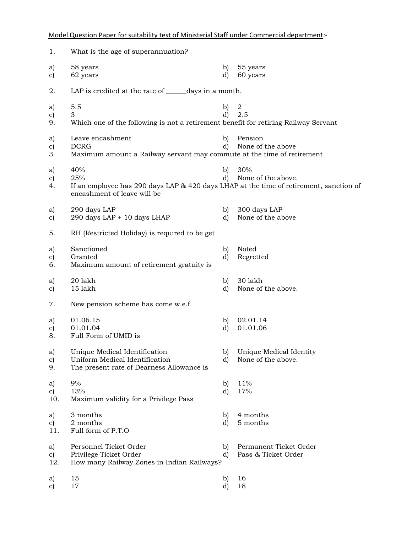Model Question Paper for suitability test of Ministerial Staff under Commercial department:-

| 1.                         | What is the age of superannuation?                                                                                                  |                    |                                               |
|----------------------------|-------------------------------------------------------------------------------------------------------------------------------------|--------------------|-----------------------------------------------|
| a)<br>c)                   | 58 years<br>62 years                                                                                                                | b)<br>d)           | 55 years<br>60 years                          |
| 2.                         | LAP is credited at the rate of ______days in a month.                                                                               |                    |                                               |
| a)<br>c)<br>9.             | 5.5<br>3<br>Which one of the following is not a retirement benefit for retiring Railway Servant                                     | b)<br>d)           | $\boldsymbol{2}$<br>2.5                       |
| a)<br>c)<br>3.             | Leave encashment<br><b>DCRG</b><br>Maximum amount a Railway servant may commute at the time of retirement                           | b)<br>d)           | Pension<br>None of the above                  |
| a)<br>$\mathbf{c})$<br>4.  | 40%<br>25%<br>If an employee has 290 days LAP & 420 days LHAP at the time of retirement, sanction of<br>encashment of leave will be | $\mathbf{b}$<br>d) | 30%<br>None of the above.                     |
| a)<br>$\mathbf{c})$        | 290 days LAP<br>290 days LAP + 10 days LHAP                                                                                         | b)<br>d)           | 300 days LAP<br>None of the above             |
| 5.                         | RH (Restricted Holiday) is required to be get                                                                                       |                    |                                               |
| a)<br>$\mathbf{c})$<br>6.  | Sanctioned<br>Granted<br>Maximum amount of retirement gratuity is                                                                   | b)<br>d)           | Noted<br>Regretted                            |
| a)<br>$\mathbf{c})$        | 20 lakh<br>15 lakh                                                                                                                  | b)<br>d)           | 30 lakh<br>None of the above.                 |
| 7.                         | New pension scheme has come w.e.f.                                                                                                  |                    |                                               |
| a)<br>$\mathbf{c})$<br>8.  | 01.06.15<br>01.01.04<br>Full Form of UMID is                                                                                        | b)<br>d)           | 02.01.14<br>01.01.06                          |
| a)<br>$\mathbf{c})$<br>9.  | Unique Medical Identification<br>Uniform Medical Identification<br>The present rate of Dearness Allowance is                        | b)<br>d)           | Unique Medical Identity<br>None of the above. |
| a)<br>c)<br>10.            | 9%<br>13%<br>Maximum validity for a Privilege Pass                                                                                  | b)<br>d)           | 11%<br>17%                                    |
| a)<br>$\mathbf{c}$<br>11.  | 3 months<br>2 months<br>Full form of P.T.O                                                                                          | b)<br>d)           | 4 months<br>5 months                          |
| a)<br>$\mathbf{c})$<br>12. | Personnel Ticket Order<br>Privilege Ticket Order<br>How many Railway Zones in Indian Railways?                                      | b)<br>d)           | Permanent Ticket Order<br>Pass & Ticket Order |
| a)<br>$\mathbf{c})$        | 15<br>17                                                                                                                            | b)<br>d)           | 16<br>18                                      |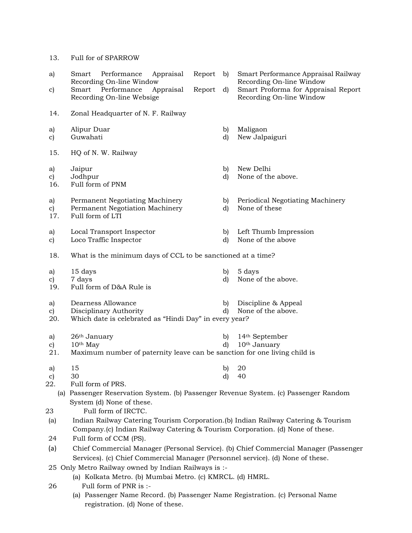13. Full for of SPARROW

| a)                                                   | Performance<br>Appraisal<br>Report<br>Smart<br>Recording On-line Window              | b)           | Smart Performance Appraisal Railway<br>Recording On-line Window |  |  |  |
|------------------------------------------------------|--------------------------------------------------------------------------------------|--------------|-----------------------------------------------------------------|--|--|--|
| c)                                                   | Performance<br>Appraisal<br>Smart<br>Report<br>Recording On-line Websige             | d)           | Smart Proforma for Appraisal Report<br>Recording On-line Window |  |  |  |
| 14.                                                  | Zonal Headquarter of N. F. Railway                                                   |              |                                                                 |  |  |  |
| a)<br>c)                                             | Alipur Duar<br>Guwahati                                                              | b)<br>d)     | Maligaon<br>New Jalpaiguri                                      |  |  |  |
| 15.                                                  | HQ of N. W. Railway                                                                  |              |                                                                 |  |  |  |
| a)                                                   | Jaipur                                                                               | b)           | New Delhi                                                       |  |  |  |
| c)                                                   | Jodhpur                                                                              | d)           | None of the above.                                              |  |  |  |
| 16.                                                  | Full form of PNM                                                                     |              |                                                                 |  |  |  |
| a)                                                   | Permanent Negotiating Machinery                                                      | b)           | Periodical Negotiating Machinery                                |  |  |  |
| c)                                                   | Permanent Negotiation Machinery                                                      | d)           | None of these                                                   |  |  |  |
| 17.                                                  | Full form of LTI                                                                     |              |                                                                 |  |  |  |
| a)                                                   | Local Transport Inspector                                                            | b)           | Left Thumb Impression                                           |  |  |  |
| c)                                                   | Loco Traffic Inspector                                                               | d)           | None of the above                                               |  |  |  |
| 18.                                                  | What is the minimum days of CCL to be sanctioned at a time?                          |              |                                                                 |  |  |  |
|                                                      | 15 days                                                                              | b)           | 5 days                                                          |  |  |  |
| a)<br>c)                                             | 7 days                                                                               | d)           | None of the above.                                              |  |  |  |
| 19.                                                  | Full form of D&A Rule is                                                             |              |                                                                 |  |  |  |
|                                                      |                                                                                      |              |                                                                 |  |  |  |
| a)                                                   | Dearness Allowance                                                                   | b)<br>d)     | Discipline & Appeal<br>None of the above.                       |  |  |  |
| c)<br>20.                                            | Disciplinary Authority<br>Which date is celebrated as "Hindi Day" in every year?     |              |                                                                 |  |  |  |
|                                                      |                                                                                      |              |                                                                 |  |  |  |
| a)                                                   | 26 <sup>th</sup> January                                                             | $\mathbf{b}$ | 14 <sup>th</sup> September                                      |  |  |  |
| c)                                                   | 10 <sup>th</sup> May                                                                 | d)           | 10 <sup>th</sup> January                                        |  |  |  |
| 21.                                                  | Maximum number of paternity leave can be sanction for one living child is            |              |                                                                 |  |  |  |
| a)                                                   | 15                                                                                   | b)           | 20                                                              |  |  |  |
| c)                                                   | 30                                                                                   | d)           | 40                                                              |  |  |  |
| 22.                                                  | Full form of PRS.                                                                    |              |                                                                 |  |  |  |
| (a)                                                  | Passenger Reservation System. (b) Passenger Revenue System. (c) Passenger Random     |              |                                                                 |  |  |  |
|                                                      | System (d) None of these.                                                            |              |                                                                 |  |  |  |
| 23                                                   | Full form of IRCTC.                                                                  |              |                                                                 |  |  |  |
| (a)                                                  | Indian Railway Catering Tourism Corporation.(b) Indian Railway Catering & Tourism    |              |                                                                 |  |  |  |
|                                                      | Company.(c) Indian Railway Catering & Tourism Corporation. (d) None of these.        |              |                                                                 |  |  |  |
| 24                                                   | Full form of CCM (PS).                                                               |              |                                                                 |  |  |  |
| (a)                                                  | Chief Commercial Manager (Personal Service). (b) Chief Commercial Manager (Passenger |              |                                                                 |  |  |  |
|                                                      | Services). (c) Chief Commercial Manager (Personnel service). (d) None of these.      |              |                                                                 |  |  |  |
| 25 Only Metro Railway owned by Indian Railways is :- |                                                                                      |              |                                                                 |  |  |  |
|                                                      | (a) Kolkata Metro. (b) Mumbai Metro. (c) KMRCL. (d) HMRL.                            |              |                                                                 |  |  |  |
| 26                                                   | Full form of PNR is :-                                                               |              |                                                                 |  |  |  |
|                                                      | (a) Passenger Name Record. (b) Passenger Name Registration. (c) Personal Name        |              |                                                                 |  |  |  |
|                                                      | registration. (d) None of these.                                                     |              |                                                                 |  |  |  |